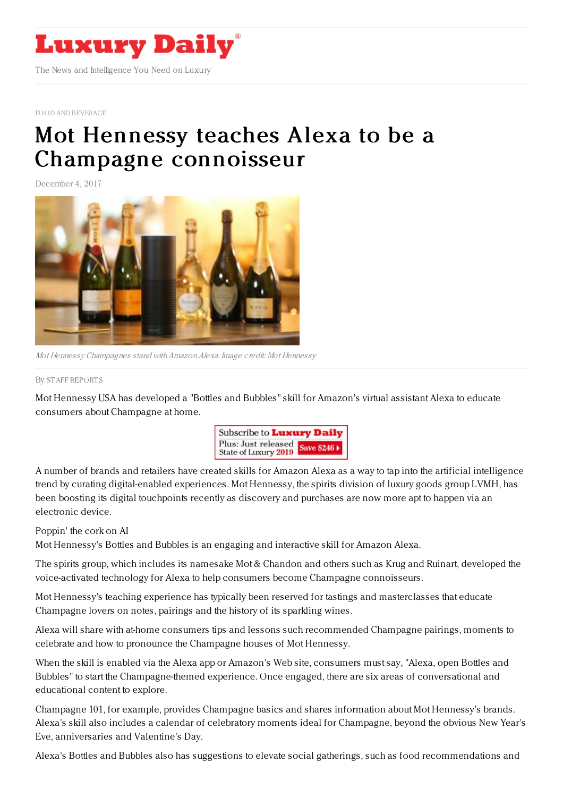

FOOD AND [BEVERAGE](https://www.luxurydaily.com/category/sectors/food-and-beverage/)

## Mot Hennessy teaches Alexa to be a Champagne [connoisseur](https://www.luxurydaily.com/moet-hennessy-teaches-alexa-to-be-a-champagne-connoisseur/)

December 4, 2017



Mot Hennessy Champagnes stand withAmazonAlexa. Image credit: Mot Hennessy

By STAFF [REPORT](file:///author/staff-reports) S

Mot Hennessy USA has developed a "Bottles and Bubbles" skill for Amazon's virtual assistant Alexa to educate consumers about Champagne at home.



A number of brands and retailers have created skills for Amazon Alexa as a way to tap into the artificial intelligence trend by curating digital-enabled experiences. Mot Hennessy, the spirits division of luxury goods group LVMH, has been boosting its digital touchpoints recently as discovery and purchases are now more apt to happen via an electronic device.

## Poppin' the cork on AI

Mot Hennessy's Bottles and Bubbles is an engaging and interactive skill for Amazon Alexa.

The spirits group, which includes its namesake Mot & Chandon and others such as Krug and Ruinart, developed the voice-activated technology for Alexa to help consumers become Champagne connoisseurs.

Mot Hennessy's teaching experience has typically been reserved for tastings and masterclasses that educate Champagne lovers on notes, pairings and the history of its sparkling wines.

Alexa will share with at-home consumers tips and lessons such recommended Champagne pairings, moments to celebrate and how to pronounce the Champagne houses of Mot Hennessy.

When the skill is enabled via the Alexa app or Amazon's Web site, consumers must say, "Alexa, open Bottles and Bubbles" to start the Champagne-themed experience. Once engaged, there are six areas of conversational and educational content to explore.

Champagne 101, for example, provides Champagne basics and shares information about Mot Hennessy's brands. Alexa's skill also includes a calendar of celebratory moments ideal for Champagne, beyond the obvious New Year's Eve, anniversaries and Valentine's Day.

Alexa's Bottles and Bubbles also has suggestions to elevate social gatherings, such as food recommendations and